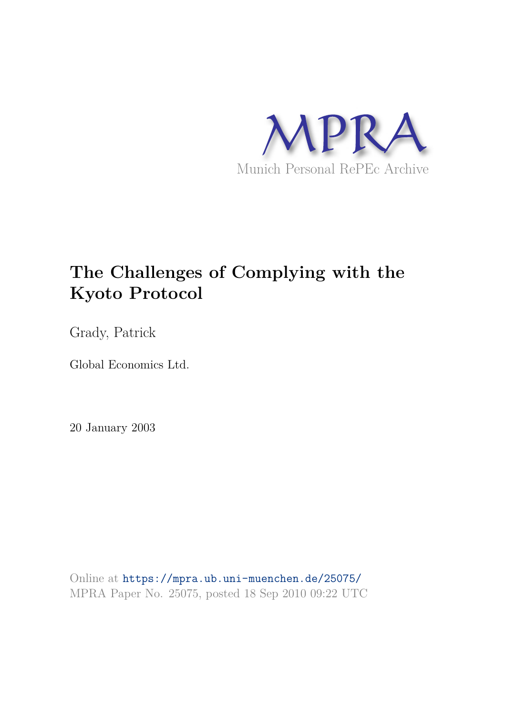

# **The Challenges of Complying with the Kyoto Protocol**

Grady, Patrick

Global Economics Ltd.

20 January 2003

Online at https://mpra.ub.uni-muenchen.de/25075/ MPRA Paper No. 25075, posted 18 Sep 2010 09:22 UTC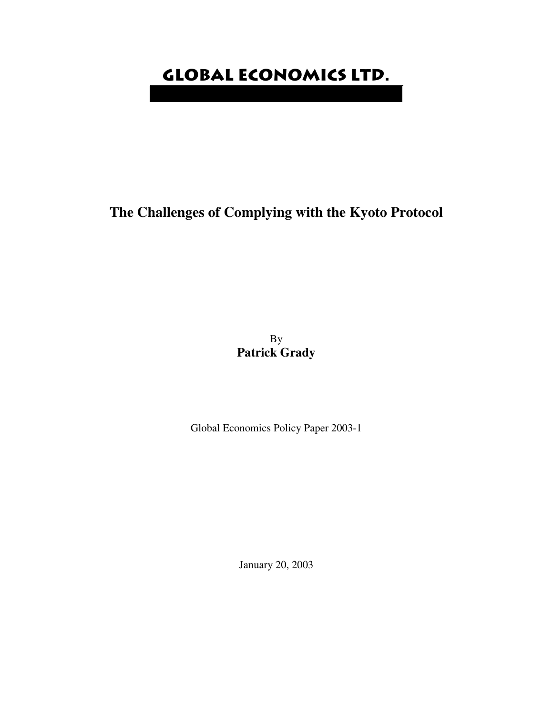# **Global Economics Ltd.**

# **The Challenges of Complying with the Kyoto Protocol**

By **Patrick Grady**

Global Economics Policy Paper 2003-1

January 20, 2003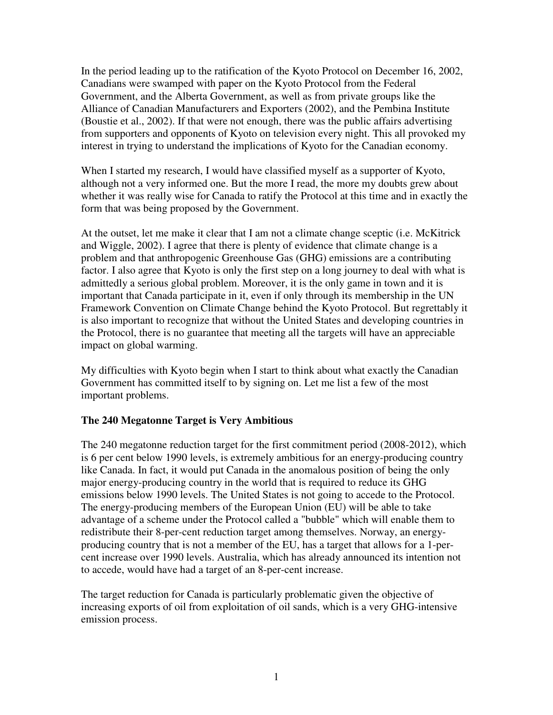In the period leading up to the ratification of the Kyoto Protocol on December 16, 2002, Canadians were swamped with paper on the Kyoto Protocol from the Federal Government, and the Alberta Government, as well as from private groups like the Alliance of Canadian Manufacturers and Exporters (2002), and the Pembina Institute (Boustie et al., 2002). If that were not enough, there was the public affairs advertising from supporters and opponents of Kyoto on television every night. This all provoked my interest in trying to understand the implications of Kyoto for the Canadian economy.

When I started my research, I would have classified myself as a supporter of Kyoto, although not a very informed one. But the more I read, the more my doubts grew about whether it was really wise for Canada to ratify the Protocol at this time and in exactly the form that was being proposed by the Government.

At the outset, let me make it clear that I am not a climate change sceptic (i.e. McKitrick and Wiggle, 2002). I agree that there is plenty of evidence that climate change is a problem and that anthropogenic Greenhouse Gas (GHG) emissions are a contributing factor. I also agree that Kyoto is only the first step on a long journey to deal with what is admittedly a serious global problem. Moreover, it is the only game in town and it is important that Canada participate in it, even if only through its membership in the UN Framework Convention on Climate Change behind the Kyoto Protocol. But regrettably it is also important to recognize that without the United States and developing countries in the Protocol, there is no guarantee that meeting all the targets will have an appreciable impact on global warming.

My difficulties with Kyoto begin when I start to think about what exactly the Canadian Government has committed itself to by signing on. Let me list a few of the most important problems.

## **The 240 Megatonne Target is Very Ambitious**

The 240 megatonne reduction target for the first commitment period (2008-2012), which is 6 per cent below 1990 levels, is extremely ambitious for an energy-producing country like Canada. In fact, it would put Canada in the anomalous position of being the only major energy-producing country in the world that is required to reduce its GHG emissions below 1990 levels. The United States is not going to accede to the Protocol. The energy-producing members of the European Union (EU) will be able to take advantage of a scheme under the Protocol called a "bubble" which will enable them to redistribute their 8-per-cent reduction target among themselves. Norway, an energyproducing country that is not a member of the EU, has a target that allows for a 1-percent increase over 1990 levels. Australia, which has already announced its intention not to accede, would have had a target of an 8-per-cent increase.

The target reduction for Canada is particularly problematic given the objective of increasing exports of oil from exploitation of oil sands, which is a very GHG-intensive emission process.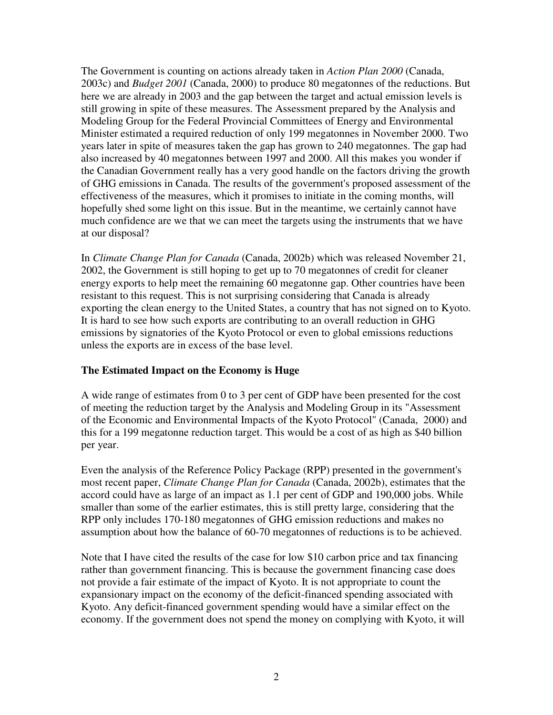The Government is counting on actions already taken in *Action Plan 2000* (Canada, 2003c) and *Budget 2001* (Canada, 2000) to produce 80 megatonnes of the reductions. But here we are already in 2003 and the gap between the target and actual emission levels is still growing in spite of these measures. The Assessment prepared by the Analysis and Modeling Group for the Federal Provincial Committees of Energy and Environmental Minister estimated a required reduction of only 199 megatonnes in November 2000. Two years later in spite of measures taken the gap has grown to 240 megatonnes. The gap had also increased by 40 megatonnes between 1997 and 2000. All this makes you wonder if the Canadian Government really has a very good handle on the factors driving the growth of GHG emissions in Canada. The results of the government's proposed assessment of the effectiveness of the measures, which it promises to initiate in the coming months, will hopefully shed some light on this issue. But in the meantime, we certainly cannot have much confidence are we that we can meet the targets using the instruments that we have at our disposal?

In *Climate Change Plan for Canada* (Canada, 2002b) which was released November 21, 2002, the Government is still hoping to get up to 70 megatonnes of credit for cleaner energy exports to help meet the remaining 60 megatonne gap. Other countries have been resistant to this request. This is not surprising considering that Canada is already exporting the clean energy to the United States, a country that has not signed on to Kyoto. It is hard to see how such exports are contributing to an overall reduction in GHG emissions by signatories of the Kyoto Protocol or even to global emissions reductions unless the exports are in excess of the base level.

## **The Estimated Impact on the Economy is Huge**

A wide range of estimates from 0 to 3 per cent of GDP have been presented for the cost of meeting the reduction target by the Analysis and Modeling Group in its "Assessment of the Economic and Environmental Impacts of the Kyoto Protocol" (Canada, 2000) and this for a 199 megatonne reduction target. This would be a cost of as high as \$40 billion per year.

Even the analysis of the Reference Policy Package (RPP) presented in the government's most recent paper, *Climate Change Plan for Canada* (Canada, 2002b), estimates that the accord could have as large of an impact as 1.1 per cent of GDP and 190,000 jobs. While smaller than some of the earlier estimates, this is still pretty large, considering that the RPP only includes 170-180 megatonnes of GHG emission reductions and makes no assumption about how the balance of 60-70 megatonnes of reductions is to be achieved.

Note that I have cited the results of the case for low \$10 carbon price and tax financing rather than government financing. This is because the government financing case does not provide a fair estimate of the impact of Kyoto. It is not appropriate to count the expansionary impact on the economy of the deficit-financed spending associated with Kyoto. Any deficit-financed government spending would have a similar effect on the economy. If the government does not spend the money on complying with Kyoto, it will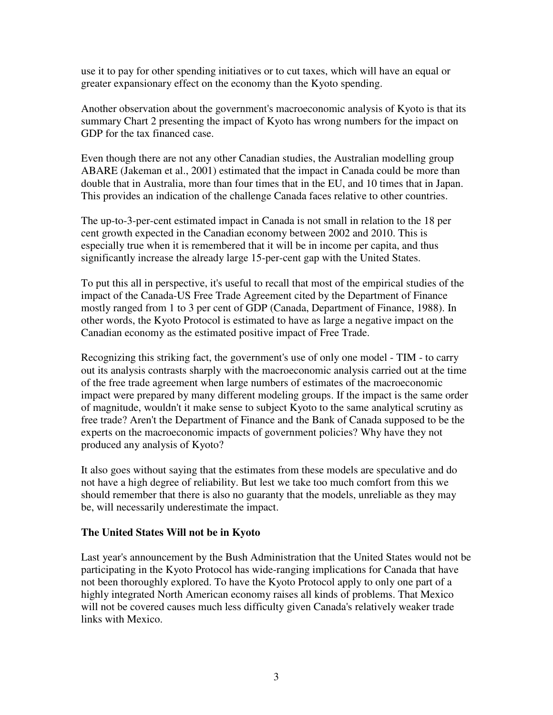use it to pay for other spending initiatives or to cut taxes, which will have an equal or greater expansionary effect on the economy than the Kyoto spending.

Another observation about the government's macroeconomic analysis of Kyoto is that its summary Chart 2 presenting the impact of Kyoto has wrong numbers for the impact on GDP for the tax financed case.

Even though there are not any other Canadian studies, the Australian modelling group ABARE (Jakeman et al., 2001) estimated that the impact in Canada could be more than double that in Australia, more than four times that in the EU, and 10 times that in Japan. This provides an indication of the challenge Canada faces relative to other countries.

The up-to-3-per-cent estimated impact in Canada is not small in relation to the 18 per cent growth expected in the Canadian economy between 2002 and 2010. This is especially true when it is remembered that it will be in income per capita, and thus significantly increase the already large 15-per-cent gap with the United States.

To put this all in perspective, it's useful to recall that most of the empirical studies of the impact of the Canada-US Free Trade Agreement cited by the Department of Finance mostly ranged from 1 to 3 per cent of GDP (Canada, Department of Finance, 1988). In other words, the Kyoto Protocol is estimated to have as large a negative impact on the Canadian economy as the estimated positive impact of Free Trade.

Recognizing this striking fact, the government's use of only one model - TIM - to carry out its analysis contrasts sharply with the macroeconomic analysis carried out at the time of the free trade agreement when large numbers of estimates of the macroeconomic impact were prepared by many different modeling groups. If the impact is the same order of magnitude, wouldn't it make sense to subject Kyoto to the same analytical scrutiny as free trade? Aren't the Department of Finance and the Bank of Canada supposed to be the experts on the macroeconomic impacts of government policies? Why have they not produced any analysis of Kyoto?

It also goes without saying that the estimates from these models are speculative and do not have a high degree of reliability. But lest we take too much comfort from this we should remember that there is also no guaranty that the models, unreliable as they may be, will necessarily underestimate the impact.

#### **The United States Will not be in Kyoto**

Last year's announcement by the Bush Administration that the United States would not be participating in the Kyoto Protocol has wide-ranging implications for Canada that have not been thoroughly explored. To have the Kyoto Protocol apply to only one part of a highly integrated North American economy raises all kinds of problems. That Mexico will not be covered causes much less difficulty given Canada's relatively weaker trade links with Mexico.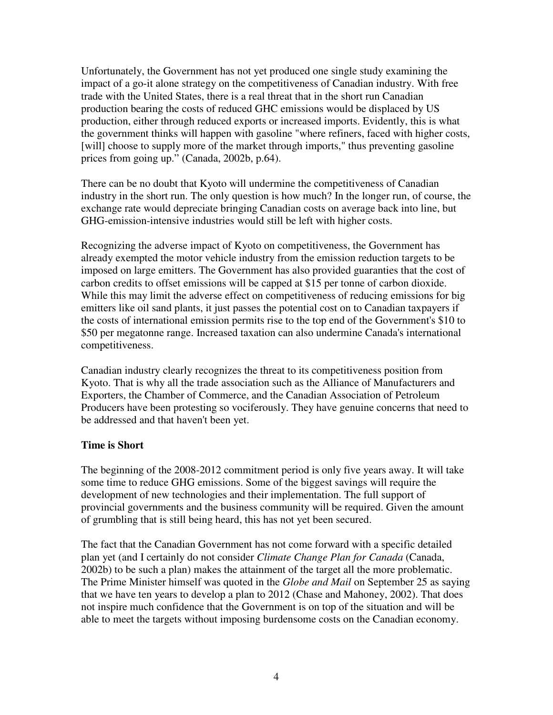Unfortunately, the Government has not yet produced one single study examining the impact of a go-it alone strategy on the competitiveness of Canadian industry. With free trade with the United States, there is a real threat that in the short run Canadian production bearing the costs of reduced GHC emissions would be displaced by US production, either through reduced exports or increased imports. Evidently, this is what the government thinks will happen with gasoline "where refiners, faced with higher costs, [will] choose to supply more of the market through imports," thus preventing gasoline prices from going up." (Canada, 2002b, p.64).

There can be no doubt that Kyoto will undermine the competitiveness of Canadian industry in the short run. The only question is how much? In the longer run, of course, the exchange rate would depreciate bringing Canadian costs on average back into line, but GHG-emission-intensive industries would still be left with higher costs.

Recognizing the adverse impact of Kyoto on competitiveness, the Government has already exempted the motor vehicle industry from the emission reduction targets to be imposed on large emitters. The Government has also provided guaranties that the cost of carbon credits to offset emissions will be capped at \$15 per tonne of carbon dioxide. While this may limit the adverse effect on competitiveness of reducing emissions for big emitters like oil sand plants, it just passes the potential cost on to Canadian taxpayers if the costs of international emission permits rise to the top end of the Government's \$10 to \$50 per megatonne range. Increased taxation can also undermine Canada's international competitiveness.

Canadian industry clearly recognizes the threat to its competitiveness position from Kyoto. That is why all the trade association such as the Alliance of Manufacturers and Exporters, the Chamber of Commerce, and the Canadian Association of Petroleum Producers have been protesting so vociferously. They have genuine concerns that need to be addressed and that haven't been yet.

#### **Time is Short**

The beginning of the 2008-2012 commitment period is only five years away. It will take some time to reduce GHG emissions. Some of the biggest savings will require the development of new technologies and their implementation. The full support of provincial governments and the business community will be required. Given the amount of grumbling that is still being heard, this has not yet been secured.

The fact that the Canadian Government has not come forward with a specific detailed plan yet (and I certainly do not consider *Climate Change Plan for Canada* (Canada, 2002b) to be such a plan) makes the attainment of the target all the more problematic. The Prime Minister himself was quoted in the *Globe and Mail* on September 25 as saying that we have ten years to develop a plan to 2012 (Chase and Mahoney, 2002). That does not inspire much confidence that the Government is on top of the situation and will be able to meet the targets without imposing burdensome costs on the Canadian economy.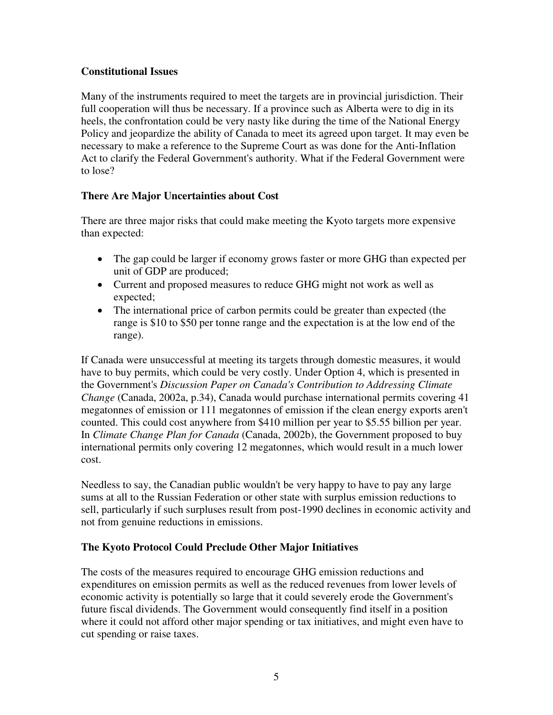## **Constitutional Issues**

Many of the instruments required to meet the targets are in provincial jurisdiction. Their full cooperation will thus be necessary. If a province such as Alberta were to dig in its heels, the confrontation could be very nasty like during the time of the National Energy Policy and jeopardize the ability of Canada to meet its agreed upon target. It may even be necessary to make a reference to the Supreme Court as was done for the Anti-Inflation Act to clarify the Federal Government's authority. What if the Federal Government were to lose?

# **There Are Major Uncertainties about Cost**

There are three major risks that could make meeting the Kyoto targets more expensive than expected:

- The gap could be larger if economy grows faster or more GHG than expected per unit of GDP are produced;
- Current and proposed measures to reduce GHG might not work as well as expected;
- The international price of carbon permits could be greater than expected (the range is \$10 to \$50 per tonne range and the expectation is at the low end of the range).

If Canada were unsuccessful at meeting its targets through domestic measures, it would have to buy permits, which could be very costly. Under Option 4, which is presented in the Government's *Discussion Paper on Canada's Contribution to Addressing Climate Change* (Canada, 2002a, p.34), Canada would purchase international permits covering 41 megatonnes of emission or 111 megatonnes of emission if the clean energy exports aren't counted. This could cost anywhere from \$410 million per year to \$5.55 billion per year. In *Climate Change Plan for Canada* (Canada, 2002b), the Government proposed to buy international permits only covering 12 megatonnes, which would result in a much lower cost.

Needless to say, the Canadian public wouldn't be very happy to have to pay any large sums at all to the Russian Federation or other state with surplus emission reductions to sell, particularly if such surpluses result from post-1990 declines in economic activity and not from genuine reductions in emissions.

# **The Kyoto Protocol Could Preclude Other Major Initiatives**

The costs of the measures required to encourage GHG emission reductions and expenditures on emission permits as well as the reduced revenues from lower levels of economic activity is potentially so large that it could severely erode the Government's future fiscal dividends. The Government would consequently find itself in a position where it could not afford other major spending or tax initiatives, and might even have to cut spending or raise taxes.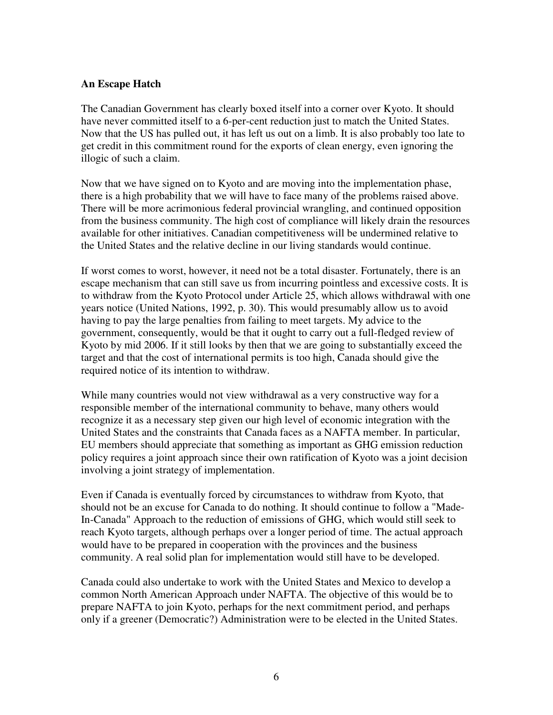#### **An Escape Hatch**

The Canadian Government has clearly boxed itself into a corner over Kyoto. It should have never committed itself to a 6-per-cent reduction just to match the United States. Now that the US has pulled out, it has left us out on a limb. It is also probably too late to get credit in this commitment round for the exports of clean energy, even ignoring the illogic of such a claim.

Now that we have signed on to Kyoto and are moving into the implementation phase, there is a high probability that we will have to face many of the problems raised above. There will be more acrimonious federal provincial wrangling, and continued opposition from the business community. The high cost of compliance will likely drain the resources available for other initiatives. Canadian competitiveness will be undermined relative to the United States and the relative decline in our living standards would continue.

If worst comes to worst, however, it need not be a total disaster. Fortunately, there is an escape mechanism that can still save us from incurring pointless and excessive costs. It is to withdraw from the Kyoto Protocol under Article 25, which allows withdrawal with one years notice (United Nations, 1992, p. 30). This would presumably allow us to avoid having to pay the large penalties from failing to meet targets. My advice to the government, consequently, would be that it ought to carry out a full-fledged review of Kyoto by mid 2006. If it still looks by then that we are going to substantially exceed the target and that the cost of international permits is too high, Canada should give the required notice of its intention to withdraw.

While many countries would not view withdrawal as a very constructive way for a responsible member of the international community to behave, many others would recognize it as a necessary step given our high level of economic integration with the United States and the constraints that Canada faces as a NAFTA member. In particular, EU members should appreciate that something as important as GHG emission reduction policy requires a joint approach since their own ratification of Kyoto was a joint decision involving a joint strategy of implementation.

Even if Canada is eventually forced by circumstances to withdraw from Kyoto, that should not be an excuse for Canada to do nothing. It should continue to follow a "Made-In-Canada" Approach to the reduction of emissions of GHG, which would still seek to reach Kyoto targets, although perhaps over a longer period of time. The actual approach would have to be prepared in cooperation with the provinces and the business community. A real solid plan for implementation would still have to be developed.

Canada could also undertake to work with the United States and Mexico to develop a common North American Approach under NAFTA. The objective of this would be to prepare NAFTA to join Kyoto, perhaps for the next commitment period, and perhaps only if a greener (Democratic?) Administration were to be elected in the United States.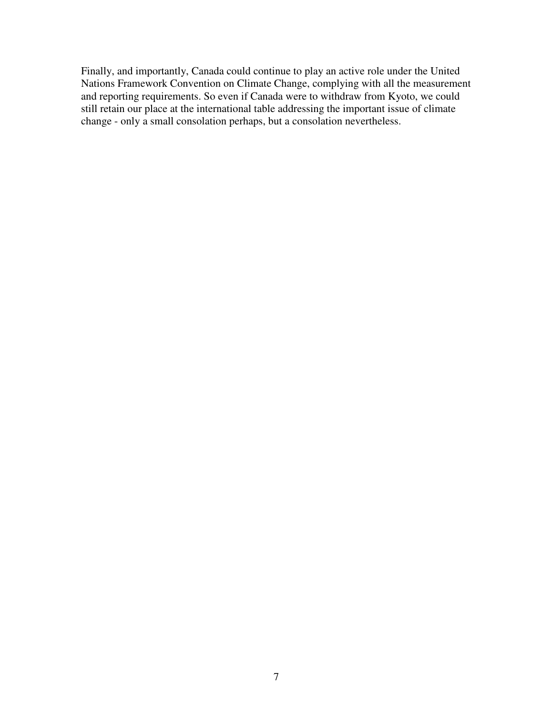Finally, and importantly, Canada could continue to play an active role under the United Nations Framework Convention on Climate Change, complying with all the measurement and reporting requirements. So even if Canada were to withdraw from Kyoto, we could still retain our place at the international table addressing the important issue of climate change - only a small consolation perhaps, but a consolation nevertheless.